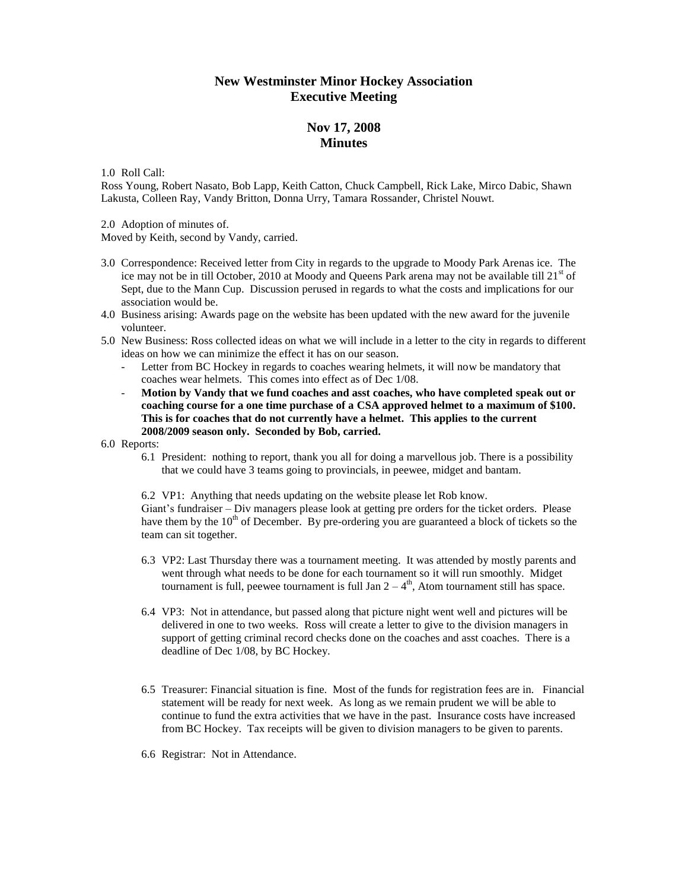## **New Westminster Minor Hockey Association Executive Meeting**

## **Nov 17, 2008 Minutes**

1.0 Roll Call:

Ross Young, Robert Nasato, Bob Lapp, Keith Catton, Chuck Campbell, Rick Lake, Mirco Dabic, Shawn Lakusta, Colleen Ray, Vandy Britton, Donna Urry, Tamara Rossander, Christel Nouwt.

2.0 Adoption of minutes of.

Moved by Keith, second by Vandy, carried.

- 3.0 Correspondence: Received letter from City in regards to the upgrade to Moody Park Arenas ice. The ice may not be in till October, 2010 at Moody and Queens Park arena may not be available till  $21<sup>st</sup>$  of Sept, due to the Mann Cup. Discussion perused in regards to what the costs and implications for our association would be.
- 4.0 Business arising: Awards page on the website has been updated with the new award for the juvenile volunteer.
- 5.0 New Business: Ross collected ideas on what we will include in a letter to the city in regards to different ideas on how we can minimize the effect it has on our season.
	- Letter from BC Hockey in regards to coaches wearing helmets, it will now be mandatory that coaches wear helmets. This comes into effect as of Dec 1/08.
	- **Motion by Vandy that we fund coaches and asst coaches, who have completed speak out or coaching course for a one time purchase of a CSA approved helmet to a maximum of \$100. This is for coaches that do not currently have a helmet. This applies to the current 2008/2009 season only. Seconded by Bob, carried.**

6.0 Reports:

6.1 President: nothing to report, thank you all for doing a marvellous job. There is a possibility that we could have 3 teams going to provincials, in peewee, midget and bantam.

6.2 VP1: Anything that needs updating on the website please let Rob know. Giant's fundraiser – Div managers please look at getting pre orders for the ticket orders. Please have them by the  $10<sup>th</sup>$  of December. By pre-ordering you are guaranteed a block of tickets so the team can sit together.

- 6.3 VP2: Last Thursday there was a tournament meeting. It was attended by mostly parents and went through what needs to be done for each tournament so it will run smoothly. Midget tournament is full, peewee tournament is full Jan  $2 - 4<sup>th</sup>$ , Atom tournament still has space.
- 6.4 VP3: Not in attendance, but passed along that picture night went well and pictures will be delivered in one to two weeks. Ross will create a letter to give to the division managers in support of getting criminal record checks done on the coaches and asst coaches. There is a deadline of Dec 1/08, by BC Hockey.
- 6.5 Treasurer: Financial situation is fine. Most of the funds for registration fees are in. Financial statement will be ready for next week. As long as we remain prudent we will be able to continue to fund the extra activities that we have in the past. Insurance costs have increased from BC Hockey. Tax receipts will be given to division managers to be given to parents.
- 6.6 Registrar: Not in Attendance.